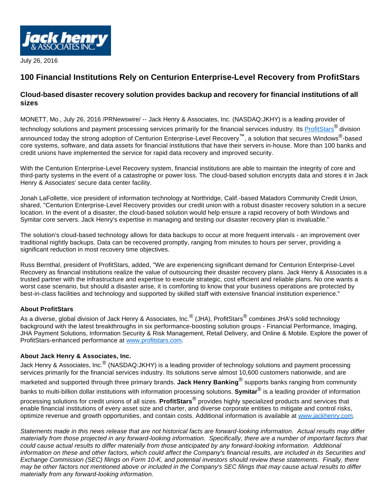

July 26, 2016

## **100 Financial Institutions Rely on Centurion Enterprise-Level Recovery from ProfitStars**

## **Cloud-based disaster recovery solution provides backup and recovery for financial institutions of all sizes**

MONETT, Mo., July 26, 2016 /PRNewswire/ -- Jack Henry & Associates, Inc. (NASDAQ:JKHY) is a leading provider of

technology solutions and payment processing services primarily for the financial services industry. Its **[ProfitStars](https://www.profitstars.com/)**<sup>®</sup> division announced today the strong adoption of Centurion Enterprise-Level Recovery™, a solution that secures Windows<sup>®</sup>-based core systems, software, and data assets for financial institutions that have their servers in-house. More than 100 banks and credit unions have implemented the service for rapid data recovery and improved security.

With the Centurion Enterprise-Level Recovery system, financial institutions are able to maintain the integrity of core and third-party systems in the event of a catastrophe or power loss. The cloud-based solution encrypts data and stores it in Jack Henry & Associates' secure data center facility.

Jonah LaFollette, vice president of information technology at Northridge, Calif.-based Matadors Community Credit Union, shared, "Centurion Enterprise-Level Recovery provides our credit union with a robust disaster recovery solution in a secure location. In the event of a disaster, the cloud-based solution would help ensure a rapid recovery of both Windows and Symitar core servers. Jack Henry's expertise in managing and testing our disaster recovery plan is invaluable."

The solution's cloud-based technology allows for data backups to occur at more frequent intervals - an improvement over traditional nightly backups. Data can be recovered promptly, ranging from minutes to hours per server, providing a significant reduction in most recovery time objectives.

Russ Bernthal, president of ProfitStars, added, "We are experiencing significant demand for Centurion Enterprise-Level Recovery as financial institutions realize the value of outsourcing their disaster recovery plans. Jack Henry & Associates is a trusted partner with the infrastructure and expertise to execute strategic, cost efficient and reliable plans. No one wants a worst case scenario, but should a disaster arise, it is comforting to know that your business operations are protected by best-in-class facilities and technology and supported by skilled staff with extensive financial institution experience."

## **About ProfitStars**

As a diverse, global division of Jack Henry & Associates, Inc. $^\circledR$  (JHA), ProfitStars $^\circledR$  combines JHA's solid technology background with the latest breakthroughs in six performance-boosting solution groups - Financial Performance, Imaging, JHA Payment Solutions, Information Security & Risk Management, Retail Delivery, and Online & Mobile. Explore the power of ProfitStars-enhanced performance at [www.profitstars.com](http://www.profitstars.com/).

## **About Jack Henry & Associates, Inc.**

Jack Henry & Associates, Inc.<sup>®</sup> (NASDAQ:JKHY) is a leading provider of technology solutions and payment processing services primarily for the financial services industry. Its solutions serve almost 10,600 customers nationwide, and are marketed and supported through three primary brands. **Jack Henry Banking**® supports banks ranging from community banks to multi-billion dollar institutions with information processing solutions. **Symitar**® is a leading provider of information processing solutions for credit unions of all sizes. **ProfitStars**® provides highly specialized products and services that enable financial institutions of every asset size and charter, and diverse corporate entities to mitigate and control risks, optimize revenue and growth opportunities, and contain costs. Additional information is available at [www.jackhenry.com](http://www.jackhenry.com/).

Statements made in this news release that are not historical facts are forward-looking information. Actual results may differ materially from those projected in any forward-looking information. Specifically, there are a number of important factors that could cause actual results to differ materially from those anticipated by any forward-looking information. Additional information on these and other factors, which could affect the Company's financial results, are included in its Securities and Exchange Commission (SEC) filings on Form 10-K, and potential investors should review these statements. Finally, there may be other factors not mentioned above or included in the Company's SEC filings that may cause actual results to differ materially from any forward-looking information.